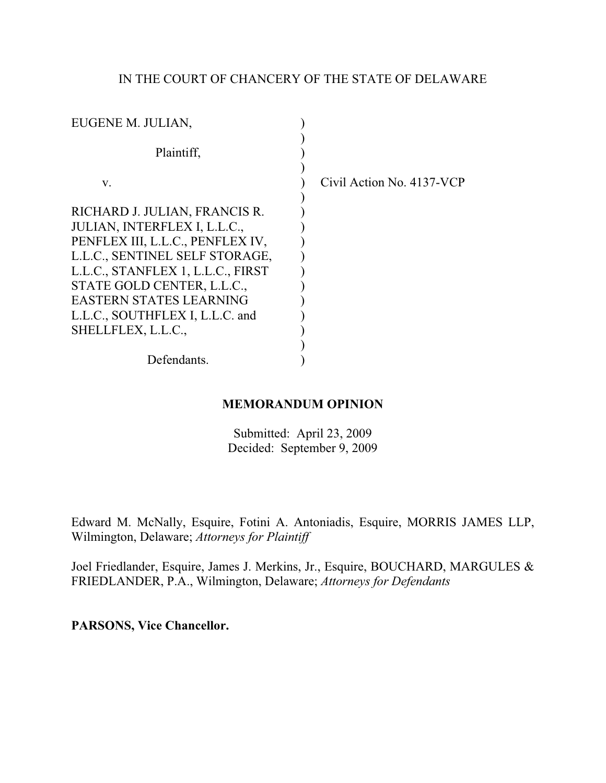# IN THE COURT OF CHANCERY OF THE STATE OF DELAWARE

| EUGENE M. JULIAN,                                                                                                                                                                                                                                                                                 |                           |
|---------------------------------------------------------------------------------------------------------------------------------------------------------------------------------------------------------------------------------------------------------------------------------------------------|---------------------------|
| Plaintiff,                                                                                                                                                                                                                                                                                        |                           |
| $V_{\cdot}$                                                                                                                                                                                                                                                                                       | Civil Action No. 4137-VCP |
| RICHARD J. JULIAN, FRANCIS R.<br>JULIAN, INTERFLEX I, L.L.C.,<br>PENFLEX III, L.L.C., PENFLEX IV,<br>L.L.C., SENTINEL SELF STORAGE,<br>L.L.C., STANFLEX 1, L.L.C., FIRST<br>STATE GOLD CENTER, L.L.C.,<br><b>EASTERN STATES LEARNING</b><br>L.L.C., SOUTHFLEX I, L.L.C. and<br>SHELLFLEX, L.L.C., |                           |
| Defendants.                                                                                                                                                                                                                                                                                       |                           |

# **MEMORANDUM OPINION**

Submitted: April 23, 2009 Decided: September 9, 2009

Edward M. McNally, Esquire, Fotini A. Antoniadis, Esquire, MORRIS JAMES LLP, Wilmington, Delaware; *Attorneys for Plaintiff*

Joel Friedlander, Esquire, James J. Merkins, Jr., Esquire, BOUCHARD, MARGULES & FRIEDLANDER, P.A., Wilmington, Delaware; *Attorneys for Defendants* 

**PARSONS, Vice Chancellor.**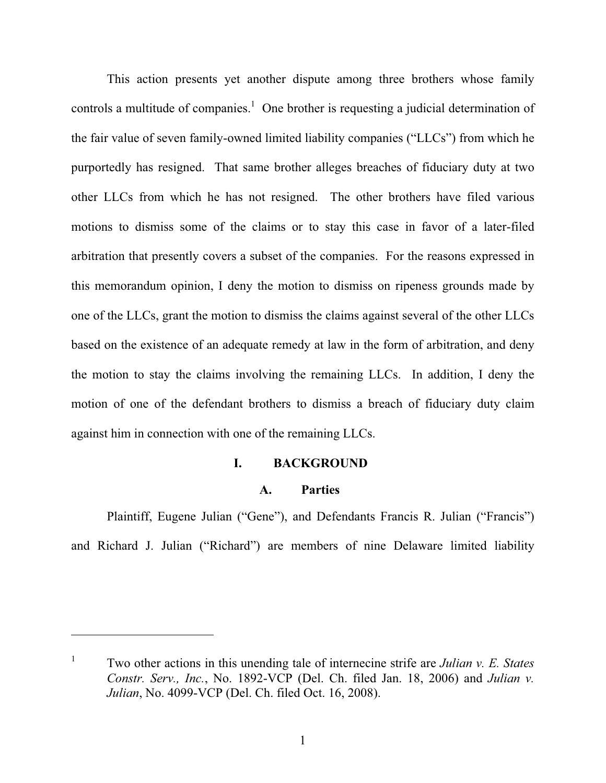This action presents yet another dispute among three brothers whose family controls a multitude of companies.<sup>1</sup> One brother is requesting a judicial determination of the fair value of seven family-owned limited liability companies ("LLCs") from which he purportedly has resigned. That same brother alleges breaches of fiduciary duty at two other LLCs from which he has not resigned. The other brothers have filed various motions to dismiss some of the claims or to stay this case in favor of a later-filed arbitration that presently covers a subset of the companies. For the reasons expressed in this memorandum opinion, I deny the motion to dismiss on ripeness grounds made by one of the LLCs, grant the motion to dismiss the claims against several of the other LLCs based on the existence of an adequate remedy at law in the form of arbitration, and deny the motion to stay the claims involving the remaining LLCs. In addition, I deny the motion of one of the defendant brothers to dismiss a breach of fiduciary duty claim against him in connection with one of the remaining LLCs.

#### **I. BACKGROUND**

#### **A. Parties**

Plaintiff, Eugene Julian ("Gene"), and Defendants Francis R. Julian ("Francis") and Richard J. Julian ("Richard") are members of nine Delaware limited liability

<sup>1</sup> Two other actions in this unending tale of internecine strife are *Julian v. E. States Constr. Serv., Inc.*, No. 1892-VCP (Del. Ch. filed Jan. 18, 2006) and *Julian v. Julian*, No. 4099-VCP (Del. Ch. filed Oct. 16, 2008).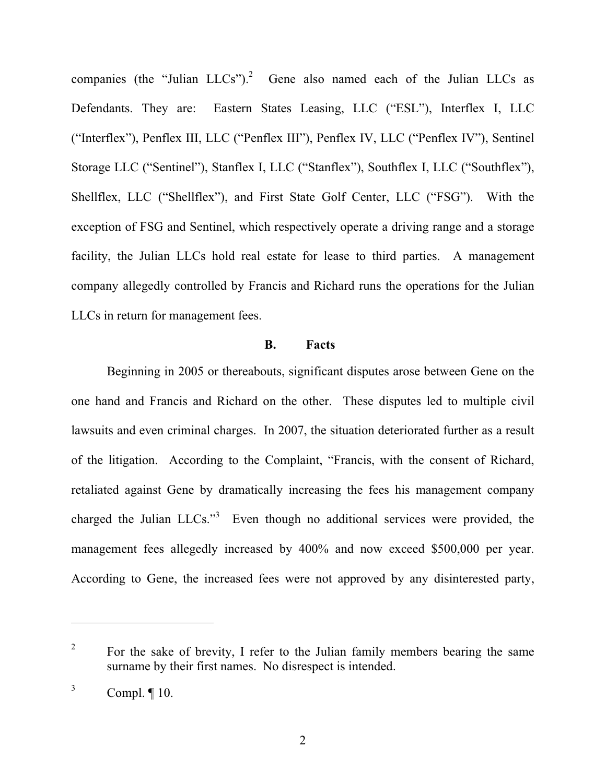companies (the "Julian  $LLCs$ ").<sup>2</sup> Gene also named each of the Julian  $LLCs$  as Defendants. They are: Eastern States Leasing, LLC ("ESL"), Interflex I, LLC ("Interflex"), Penflex III, LLC ("Penflex III"), Penflex IV, LLC ("Penflex IV"), Sentinel Storage LLC ("Sentinel"), Stanflex I, LLC ("Stanflex"), Southflex I, LLC ("Southflex"), Shellflex, LLC ("Shellflex"), and First State Golf Center, LLC ("FSG"). With the exception of FSG and Sentinel, which respectively operate a driving range and a storage facility, the Julian LLCs hold real estate for lease to third parties. A management company allegedly controlled by Francis and Richard runs the operations for the Julian LLCs in return for management fees.

## **B. Facts**

Beginning in 2005 or thereabouts, significant disputes arose between Gene on the one hand and Francis and Richard on the other. These disputes led to multiple civil lawsuits and even criminal charges. In 2007, the situation deteriorated further as a result of the litigation. According to the Complaint, "Francis, with the consent of Richard, retaliated against Gene by dramatically increasing the fees his management company charged the Julian  $LLCs$ .<sup>3</sup> Even though no additional services were provided, the management fees allegedly increased by 400% and now exceed \$500,000 per year. According to Gene, the increased fees were not approved by any disinterested party,

<sup>&</sup>lt;sup>2</sup> For the sake of brevity, I refer to the Julian family members bearing the same surname by their first names. No disrespect is intended.

 $3$  Compl.  $\llbracket 10 \rrbracket$ .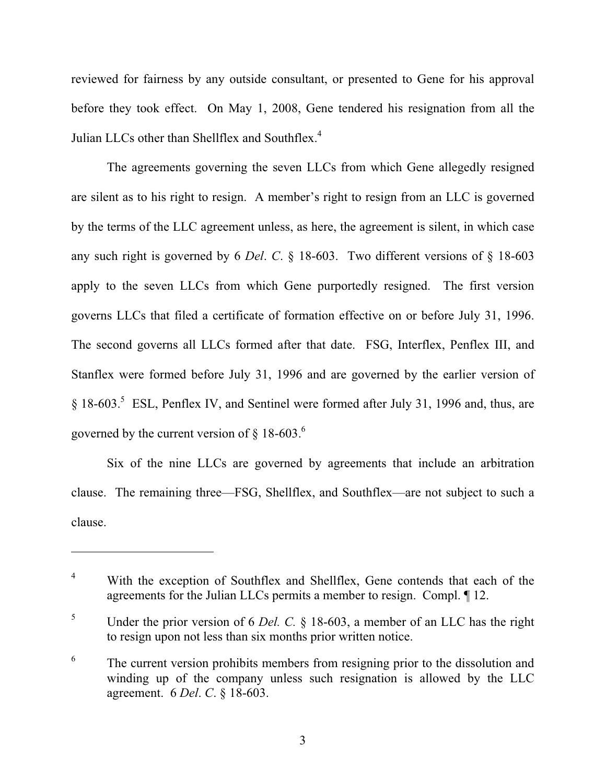reviewed for fairness by any outside consultant, or presented to Gene for his approval before they took effect. On May 1, 2008, Gene tendered his resignation from all the Julian LLCs other than Shellflex and Southflex.<sup>4</sup>

The agreements governing the seven LLCs from which Gene allegedly resigned are silent as to his right to resign. A member's right to resign from an LLC is governed by the terms of the LLC agreement unless, as here, the agreement is silent, in which case any such right is governed by 6 *Del*. *C*. § 18-603. Two different versions of § 18-603 apply to the seven LLCs from which Gene purportedly resigned. The first version governs LLCs that filed a certificate of formation effective on or before July 31, 1996. The second governs all LLCs formed after that date. FSG, Interflex, Penflex III, and Stanflex were formed before July 31, 1996 and are governed by the earlier version of § 18-603.<sup>5</sup> ESL, Penflex IV, and Sentinel were formed after July 31, 1996 and, thus, are governed by the current version of  $\S$  18-603.<sup>6</sup>

Six of the nine LLCs are governed by agreements that include an arbitration clause. The remaining three—FSG, Shellflex, and Southflex—are not subject to such a clause.

<sup>&</sup>lt;sup>4</sup> With the exception of Southflex and Shellflex, Gene contends that each of the agreements for the Julian LLCs permits a member to resign. Compl. ¶ 12.

<sup>5</sup> Under the prior version of 6 *Del. C.* § 18-603, a member of an LLC has the right to resign upon not less than six months prior written notice.

<sup>&</sup>lt;sup>6</sup> The current version prohibits members from resigning prior to the dissolution and winding up of the company unless such resignation is allowed by the LLC agreement. 6 *Del*. *C*. § 18-603.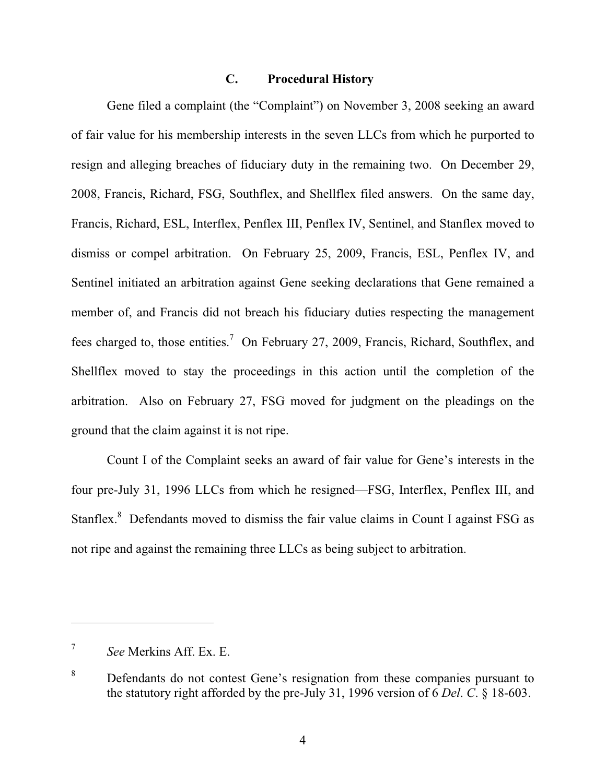## **C. Procedural History**

Gene filed a complaint (the "Complaint") on November 3, 2008 seeking an award of fair value for his membership interests in the seven LLCs from which he purported to resign and alleging breaches of fiduciary duty in the remaining two. On December 29, 2008, Francis, Richard, FSG, Southflex, and Shellflex filed answers. On the same day, Francis, Richard, ESL, Interflex, Penflex III, Penflex IV, Sentinel, and Stanflex moved to dismiss or compel arbitration. On February 25, 2009, Francis, ESL, Penflex IV, and Sentinel initiated an arbitration against Gene seeking declarations that Gene remained a member of, and Francis did not breach his fiduciary duties respecting the management fees charged to, those entities.<sup>7</sup> On February 27, 2009, Francis, Richard, Southflex, and Shellflex moved to stay the proceedings in this action until the completion of the arbitration. Also on February 27, FSG moved for judgment on the pleadings on the ground that the claim against it is not ripe.

Count I of the Complaint seeks an award of fair value for Gene's interests in the four pre-July 31, 1996 LLCs from which he resigned—FSG, Interflex, Penflex III, and Stanflex.<sup>8</sup> Defendants moved to dismiss the fair value claims in Count I against FSG as not ripe and against the remaining three LLCs as being subject to arbitration.

<sup>7</sup> *See* Merkins Aff. Ex. E.

<sup>&</sup>lt;sup>8</sup> Defendants do not contest Gene's resignation from these companies pursuant to the statutory right afforded by the pre-July 31, 1996 version of 6 *Del*. *C*. § 18-603.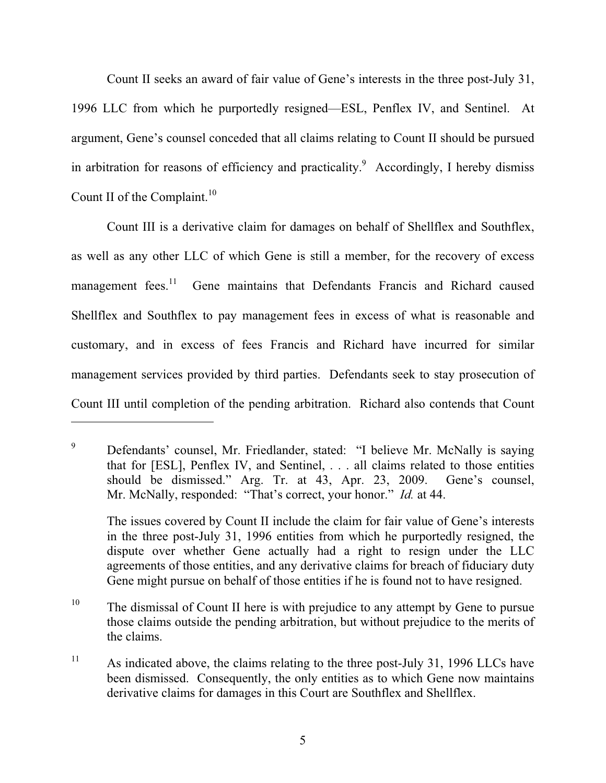Count II seeks an award of fair value of Gene's interests in the three post-July 31, 1996 LLC from which he purportedly resigned—ESL, Penflex IV, and Sentinel. At argument, Gene's counsel conceded that all claims relating to Count II should be pursued in arbitration for reasons of efficiency and practicality.<sup>9</sup> Accordingly, I hereby dismiss Count II of the Complaint. $10$ 

Count III is a derivative claim for damages on behalf of Shellflex and Southflex, as well as any other LLC of which Gene is still a member, for the recovery of excess management fees.<sup>11</sup> Gene maintains that Defendants Francis and Richard caused Shellflex and Southflex to pay management fees in excess of what is reasonable and customary, and in excess of fees Francis and Richard have incurred for similar management services provided by third parties. Defendants seek to stay prosecution of Count III until completion of the pending arbitration. Richard also contends that Count

<sup>9</sup> Defendants' counsel, Mr. Friedlander, stated: "I believe Mr. McNally is saying that for [ESL], Penflex IV, and Sentinel, . . . all claims related to those entities should be dismissed." Arg. Tr. at 43, Apr. 23, 2009. Gene's counsel, Mr. McNally, responded: "That's correct, your honor." *Id.* at 44.

The issues covered by Count II include the claim for fair value of Gene's interests in the three post-July 31, 1996 entities from which he purportedly resigned, the dispute over whether Gene actually had a right to resign under the LLC agreements of those entities, and any derivative claims for breach of fiduciary duty Gene might pursue on behalf of those entities if he is found not to have resigned.

<sup>10</sup> The dismissal of Count II here is with prejudice to any attempt by Gene to pursue those claims outside the pending arbitration, but without prejudice to the merits of the claims.

<sup>&</sup>lt;sup>11</sup> As indicated above, the claims relating to the three post-July 31, 1996 LLCs have been dismissed. Consequently, the only entities as to which Gene now maintains derivative claims for damages in this Court are Southflex and Shellflex.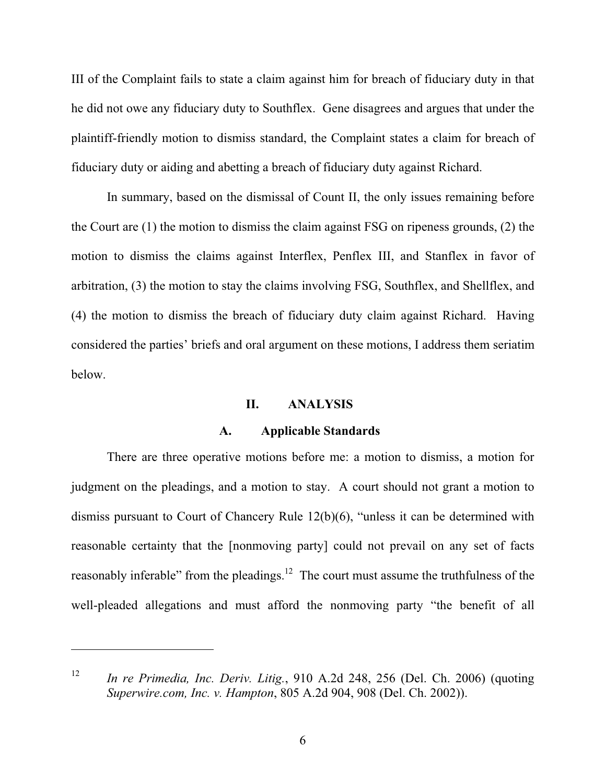III of the Complaint fails to state a claim against him for breach of fiduciary duty in that he did not owe any fiduciary duty to Southflex. Gene disagrees and argues that under the plaintiff-friendly motion to dismiss standard, the Complaint states a claim for breach of fiduciary duty or aiding and abetting a breach of fiduciary duty against Richard.

In summary, based on the dismissal of Count II, the only issues remaining before the Court are (1) the motion to dismiss the claim against FSG on ripeness grounds, (2) the motion to dismiss the claims against Interflex, Penflex III, and Stanflex in favor of arbitration, (3) the motion to stay the claims involving FSG, Southflex, and Shellflex, and (4) the motion to dismiss the breach of fiduciary duty claim against Richard. Having considered the parties' briefs and oral argument on these motions, I address them seriatim below.

## **II. ANALYSIS**

#### **A. Applicable Standards**

There are three operative motions before me: a motion to dismiss, a motion for judgment on the pleadings, and a motion to stay. A court should not grant a motion to dismiss pursuant to Court of Chancery Rule 12(b)(6), "unless it can be determined with reasonable certainty that the [nonmoving party] could not prevail on any set of facts reasonably inferable" from the pleadings.<sup>12</sup> The court must assume the truthfulness of the well-pleaded allegations and must afford the nonmoving party "the benefit of all

<sup>12</sup> *In re Primedia, Inc. Deriv. Litig.*, 910 A.2d 248, 256 (Del. Ch. 2006) (quoting *Superwire.com, Inc. v. Hampton*, 805 A.2d 904, 908 (Del. Ch. 2002)).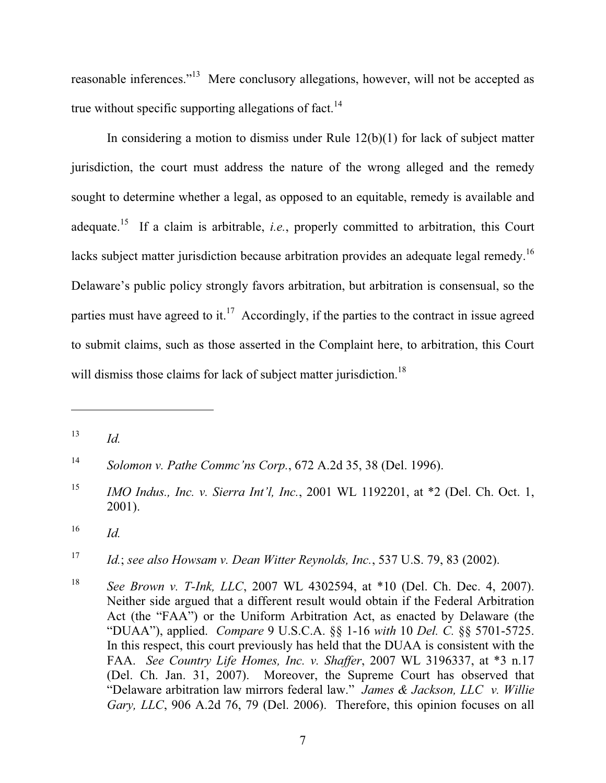reasonable inferences."13 Mere conclusory allegations, however, will not be accepted as true without specific supporting allegations of fact.<sup>14</sup>

In considering a motion to dismiss under Rule  $12(b)(1)$  for lack of subject matter jurisdiction, the court must address the nature of the wrong alleged and the remedy sought to determine whether a legal, as opposed to an equitable, remedy is available and adequate.15 If a claim is arbitrable, *i.e.*, properly committed to arbitration, this Court lacks subject matter jurisdiction because arbitration provides an adequate legal remedy.<sup>16</sup> Delaware's public policy strongly favors arbitration, but arbitration is consensual, so the parties must have agreed to it.<sup>17</sup> Accordingly, if the parties to the contract in issue agreed to submit claims, such as those asserted in the Complaint here, to arbitration, this Court will dismiss those claims for lack of subject matter jurisdiction.<sup>18</sup>

 $13$  *Id.* 

<sup>14</sup> *Solomon v. Pathe Commc'ns Corp.*, 672 A.2d 35, 38 (Del. 1996).

<sup>&</sup>lt;sup>15</sup> *IMO Indus., Inc. v. Sierra Int'l, Inc.*, 2001 WL 1192201, at \*2 (Del. Ch. Oct. 1, 2001).

<sup>16</sup> *Id.*

<sup>17</sup> *Id.*; *see also Howsam v. Dean Witter Reynolds, Inc.*, 537 U.S. 79, 83 (2002).

<sup>18</sup> *See Brown v. T-Ink, LLC*, 2007 WL 4302594, at \*10 (Del. Ch. Dec. 4, 2007). Neither side argued that a different result would obtain if the Federal Arbitration Act (the "FAA") or the Uniform Arbitration Act, as enacted by Delaware (the "DUAA"), applied. *Compare* 9 U.S.C.A. §§ 1-16 *with* 10 *Del. C.* §§ 5701-5725. In this respect, this court previously has held that the DUAA is consistent with the FAA. *See Country Life Homes, Inc. v. Shaffer*, 2007 WL 3196337, at \*3 n.17 (Del. Ch. Jan. 31, 2007). Moreover, the Supreme Court has observed that "Delaware arbitration law mirrors federal law." *James & Jackson, LLC v. Willie Gary, LLC*, 906 A.2d 76, 79 (Del. 2006). Therefore, this opinion focuses on all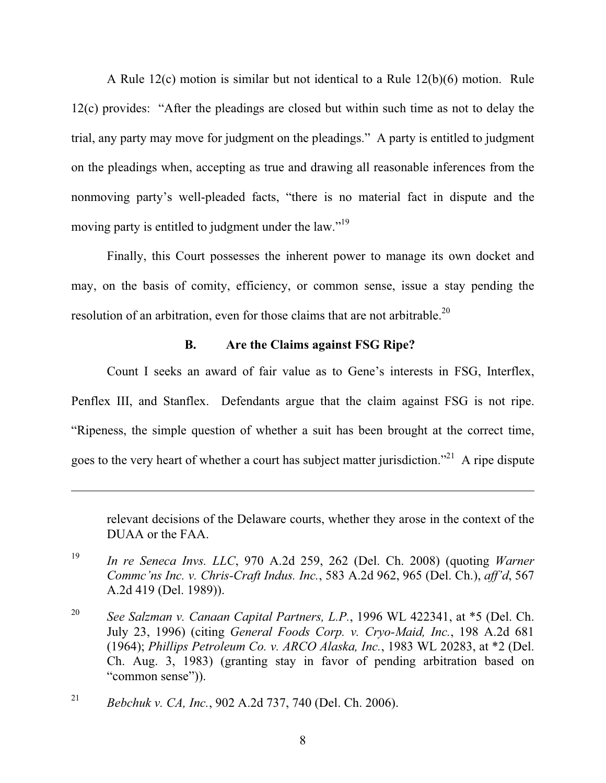A Rule 12(c) motion is similar but not identical to a Rule 12(b)(6) motion. Rule 12(c) provides: "After the pleadings are closed but within such time as not to delay the trial, any party may move for judgment on the pleadings." A party is entitled to judgment on the pleadings when, accepting as true and drawing all reasonable inferences from the nonmoving party's well-pleaded facts, "there is no material fact in dispute and the moving party is entitled to judgment under the law."<sup>19</sup>

Finally, this Court possesses the inherent power to manage its own docket and may, on the basis of comity, efficiency, or common sense, issue a stay pending the resolution of an arbitration, even for those claims that are not arbitrable.<sup>20</sup>

# **B. Are the Claims against FSG Ripe?**

Count I seeks an award of fair value as to Gene's interests in FSG, Interflex, Penflex III, and Stanflex. Defendants argue that the claim against FSG is not ripe. "Ripeness, the simple question of whether a suit has been brought at the correct time, goes to the very heart of whether a court has subject matter jurisdiction."<sup>21</sup> A ripe dispute

relevant decisions of the Delaware courts, whether they arose in the context of the DUAA or the FAA.

- <sup>19</sup> *In re Seneca Invs. LLC*, 970 A.2d 259, 262 (Del. Ch. 2008) (quoting *Warner Commc'ns Inc. v. Chris-Craft Indus. Inc.*, 583 A.2d 962, 965 (Del. Ch.), *aff'd*, 567 A.2d 419 (Del. 1989)).
- <sup>20</sup> *See Salzman v. Canaan Capital Partners, L.P.*, 1996 WL 422341, at \*5 (Del. Ch. July 23, 1996) (citing *General Foods Corp. v. Cryo-Maid, Inc.*, 198 A.2d 681 (1964); *Phillips Petroleum Co. v. ARCO Alaska, Inc.*, 1983 WL 20283, at \*2 (Del. Ch. Aug. 3, 1983) (granting stay in favor of pending arbitration based on "common sense")).

<sup>21</sup> *Bebchuk v. CA, Inc.*, 902 A.2d 737, 740 (Del. Ch. 2006).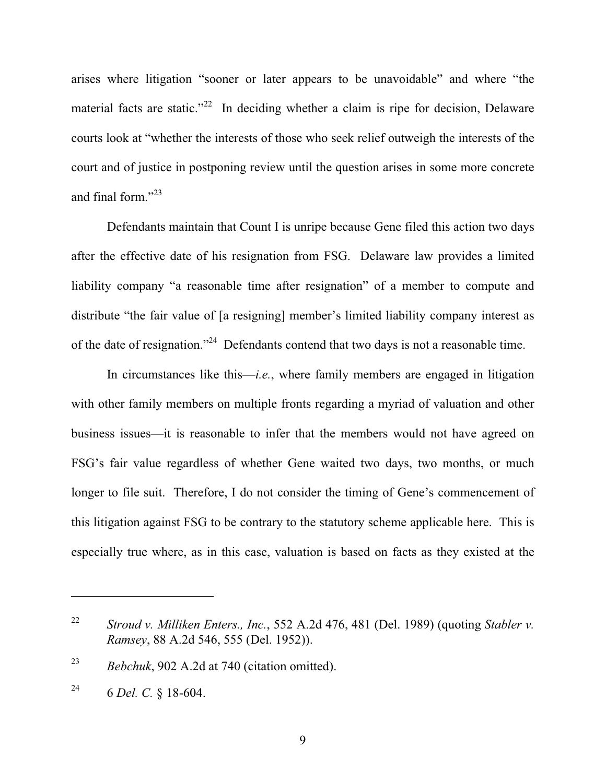arises where litigation "sooner or later appears to be unavoidable" and where "the material facts are static."<sup>22</sup> In deciding whether a claim is ripe for decision, Delaware courts look at "whether the interests of those who seek relief outweigh the interests of the court and of justice in postponing review until the question arises in some more concrete and final form."<sup>23</sup>

Defendants maintain that Count I is unripe because Gene filed this action two days after the effective date of his resignation from FSG. Delaware law provides a limited liability company "a reasonable time after resignation" of a member to compute and distribute "the fair value of [a resigning] member's limited liability company interest as of the date of resignation."24 Defendants contend that two days is not a reasonable time.

In circumstances like this—*i.e.*, where family members are engaged in litigation with other family members on multiple fronts regarding a myriad of valuation and other business issues—it is reasonable to infer that the members would not have agreed on FSG's fair value regardless of whether Gene waited two days, two months, or much longer to file suit. Therefore, I do not consider the timing of Gene's commencement of this litigation against FSG to be contrary to the statutory scheme applicable here. This is especially true where, as in this case, valuation is based on facts as they existed at the

<sup>23</sup> *Bebchuk*, 902 A.2d at 740 (citation omitted).

<sup>22</sup> *Stroud v. Milliken Enters., Inc.*, 552 A.2d 476, 481 (Del. 1989) (quoting *Stabler v. Ramsey*, 88 A.2d 546, 555 (Del. 1952)).

<sup>24 6</sup> *Del. C.* § 18-604.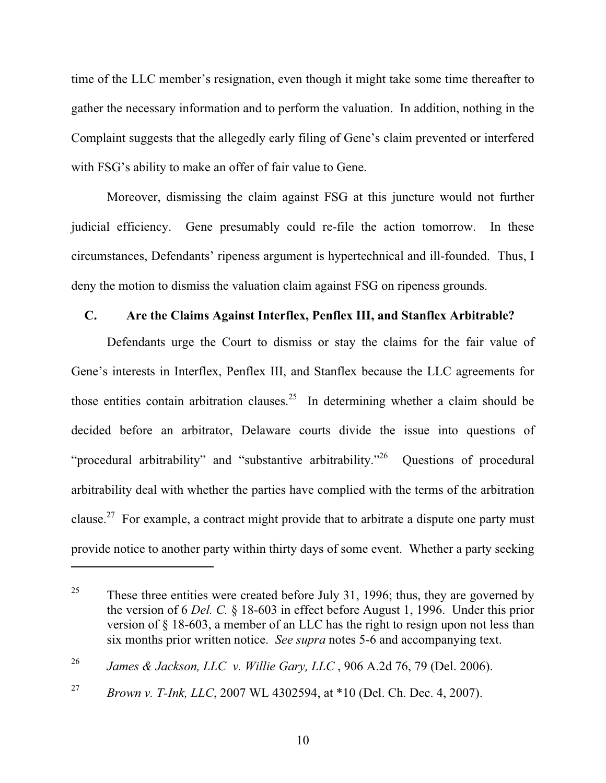time of the LLC member's resignation, even though it might take some time thereafter to gather the necessary information and to perform the valuation. In addition, nothing in the Complaint suggests that the allegedly early filing of Gene's claim prevented or interfered with FSG's ability to make an offer of fair value to Gene.

Moreover, dismissing the claim against FSG at this juncture would not further judicial efficiency. Gene presumably could re-file the action tomorrow. In these circumstances, Defendants' ripeness argument is hypertechnical and ill-founded. Thus, I deny the motion to dismiss the valuation claim against FSG on ripeness grounds.

#### **C. Are the Claims Against Interflex, Penflex III, and Stanflex Arbitrable?**

Defendants urge the Court to dismiss or stay the claims for the fair value of Gene's interests in Interflex, Penflex III, and Stanflex because the LLC agreements for those entities contain arbitration clauses.<sup>25</sup> In determining whether a claim should be decided before an arbitrator, Delaware courts divide the issue into questions of "procedural arbitrability" and "substantive arbitrability."26 Questions of procedural arbitrability deal with whether the parties have complied with the terms of the arbitration clause.<sup>27</sup> For example, a contract might provide that to arbitrate a dispute one party must provide notice to another party within thirty days of some event. Whether a party seeking

<sup>&</sup>lt;sup>25</sup> These three entities were created before July 31, 1996; thus, they are governed by the version of 6 *Del. C.* § 18-603 in effect before August 1, 1996. Under this prior version of § 18-603, a member of an LLC has the right to resign upon not less than six months prior written notice. *See supra* notes 5-6 and accompanying text.

<sup>26</sup> *James & Jackson, LLC v. Willie Gary, LLC* , 906 A.2d 76, 79 (Del. 2006).

<sup>27</sup> *Brown v. T-Ink, LLC*, 2007 WL 4302594, at \*10 (Del. Ch. Dec. 4, 2007).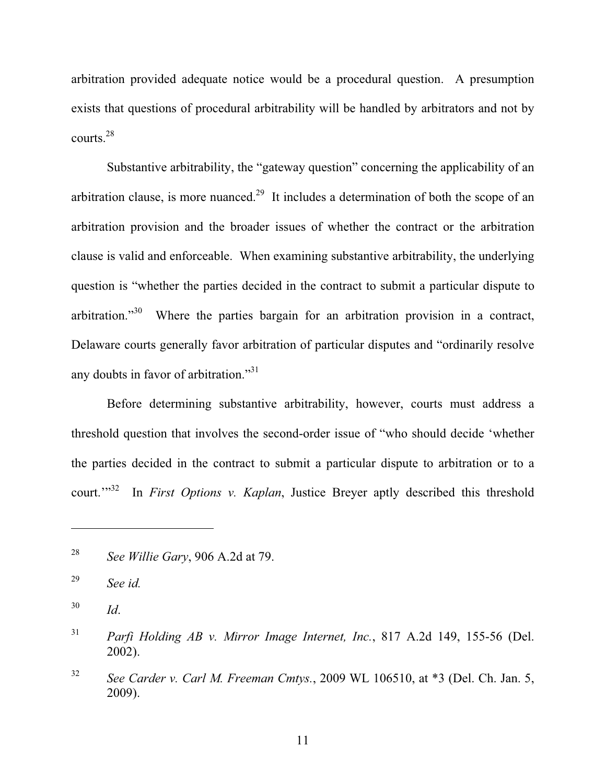arbitration provided adequate notice would be a procedural question. A presumption exists that questions of procedural arbitrability will be handled by arbitrators and not by courts.28

Substantive arbitrability, the "gateway question" concerning the applicability of an arbitration clause, is more nuanced.<sup>29</sup> It includes a determination of both the scope of an arbitration provision and the broader issues of whether the contract or the arbitration clause is valid and enforceable. When examining substantive arbitrability, the underlying question is "whether the parties decided in the contract to submit a particular dispute to arbitration."30 Where the parties bargain for an arbitration provision in a contract, Delaware courts generally favor arbitration of particular disputes and "ordinarily resolve any doubts in favor of arbitration."31

Before determining substantive arbitrability, however, courts must address a threshold question that involves the second-order issue of "who should decide 'whether the parties decided in the contract to submit a particular dispute to arbitration or to a court."<sup>32</sup> In *First Options v. Kaplan*, Justice Breyer aptly described this threshold

<sup>28</sup> *See Willie Gary*, 906 A.2d at 79.

<sup>29</sup> *See id.*

<sup>30</sup> *Id*.

<sup>31</sup> *Parfi Holding AB v. Mirror Image Internet, Inc.*, 817 A.2d 149, 155-56 (Del. 2002).

<sup>32</sup> *See Carder v. Carl M. Freeman Cmtys.*, 2009 WL 106510, at \*3 (Del. Ch. Jan. 5, 2009).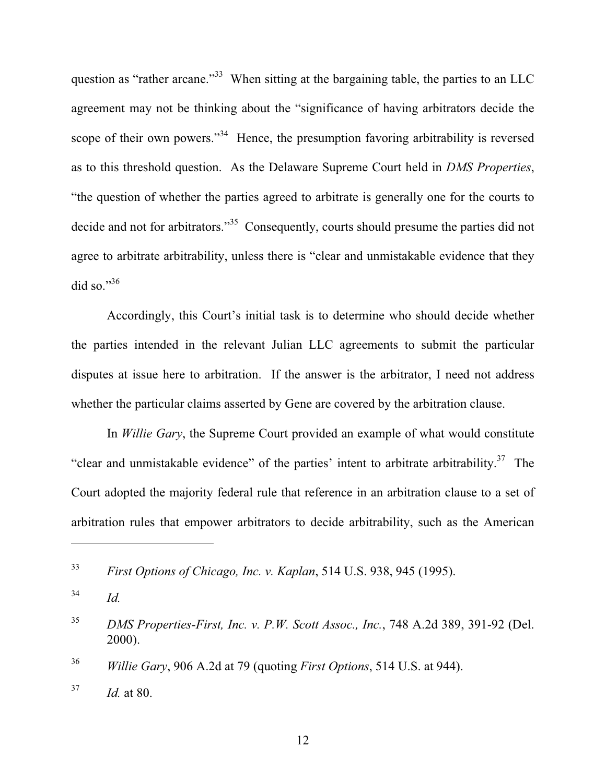question as "rather arcane."<sup>33</sup> When sitting at the bargaining table, the parties to an LLC agreement may not be thinking about the "significance of having arbitrators decide the scope of their own powers."<sup>34</sup> Hence, the presumption favoring arbitrability is reversed as to this threshold question. As the Delaware Supreme Court held in *DMS Properties*, "the question of whether the parties agreed to arbitrate is generally one for the courts to decide and not for arbitrators."<sup>35</sup> Consequently, courts should presume the parties did not agree to arbitrate arbitrability, unless there is "clear and unmistakable evidence that they did so." $36$ 

Accordingly, this Court's initial task is to determine who should decide whether the parties intended in the relevant Julian LLC agreements to submit the particular disputes at issue here to arbitration. If the answer is the arbitrator, I need not address whether the particular claims asserted by Gene are covered by the arbitration clause.

In *Willie Gary*, the Supreme Court provided an example of what would constitute "clear and unmistakable evidence" of the parties' intent to arbitrate arbitrability.<sup>37</sup> The Court adopted the majority federal rule that reference in an arbitration clause to a set of arbitration rules that empower arbitrators to decide arbitrability, such as the American

<sup>33</sup> *First Options of Chicago, Inc. v. Kaplan*, 514 U.S. 938, 945 (1995).

 $^{34}$  *Id.* 

<sup>35</sup> *DMS Properties-First, Inc. v. P.W. Scott Assoc., Inc.*, 748 A.2d 389, 391-92 (Del. 2000).

<sup>36</sup> *Willie Gary*, 906 A.2d at 79 (quoting *First Options*, 514 U.S. at 944).

<sup>37</sup> *Id.* at 80.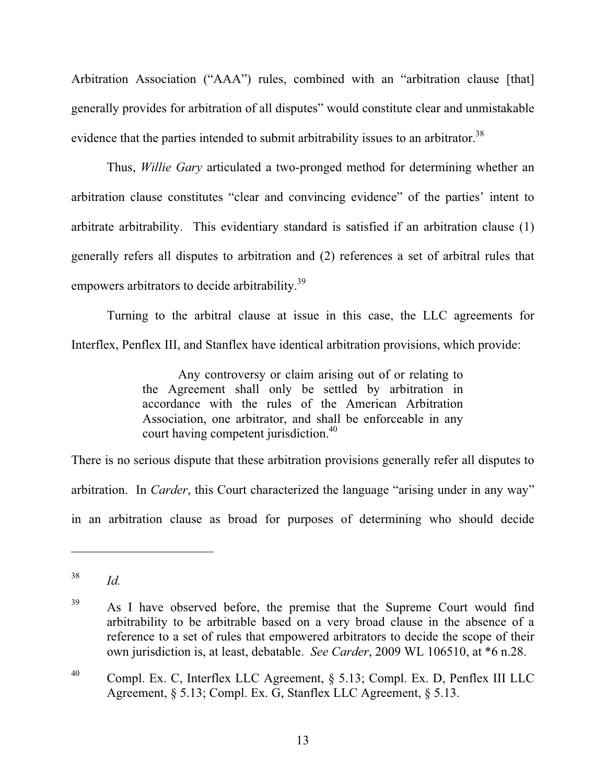Arbitration Association ("AAA") rules, combined with an "arbitration clause [that] generally provides for arbitration of all disputes" would constitute clear and unmistakable evidence that the parties intended to submit arbitrability issues to an arbitrator.<sup>38</sup>

Thus, *Willie Gary* articulated a two-pronged method for determining whether an arbitration clause constitutes "clear and convincing evidence" of the parties' intent to arbitrate arbitrability. This evidentiary standard is satisfied if an arbitration clause (1) generally refers all disputes to arbitration and (2) references a set of arbitral rules that empowers arbitrators to decide arbitrability.<sup>39</sup>

Turning to the arbitral clause at issue in this case, the LLC agreements for Interflex, Penflex III, and Stanflex have identical arbitration provisions, which provide:

> Any controversy or claim arising out of or relating to the Agreement shall only be settled by arbitration in accordance with the rules of the American Arbitration Association, one arbitrator, and shall be enforceable in any court having competent jurisdiction.<sup>40</sup>

There is no serious dispute that these arbitration provisions generally refer all disputes to arbitration. In *Carder*, this Court characterized the language "arising under in any way" in an arbitration clause as broad for purposes of determining who should decide

<sup>38</sup> *Id.*

<sup>&</sup>lt;sup>39</sup> As I have observed before, the premise that the Supreme Court would find arbitrability to be arbitrable based on a very broad clause in the absence of a reference to a set of rules that empowered arbitrators to decide the scope of their own jurisdiction is, at least, debatable. *See Carder*, 2009 WL 106510, at \*6 n.28.

<sup>40</sup> Compl. Ex. C, Interflex LLC Agreement, § 5.13; Compl. Ex. D, Penflex III LLC Agreement, § 5.13; Compl. Ex. G, Stanflex LLC Agreement, § 5.13.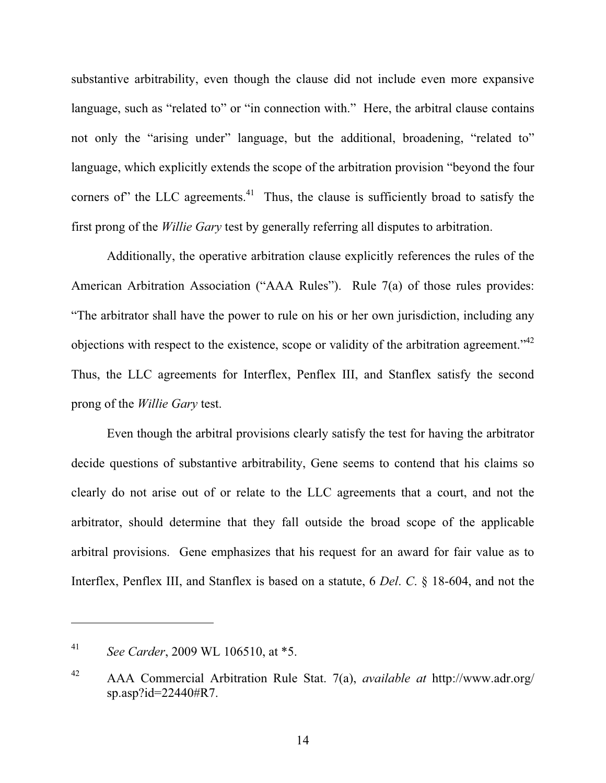substantive arbitrability, even though the clause did not include even more expansive language, such as "related to" or "in connection with." Here, the arbitral clause contains not only the "arising under" language, but the additional, broadening, "related to" language, which explicitly extends the scope of the arbitration provision "beyond the four corners of" the LLC agreements. $41$  Thus, the clause is sufficiently broad to satisfy the first prong of the *Willie Gary* test by generally referring all disputes to arbitration.

Additionally, the operative arbitration clause explicitly references the rules of the American Arbitration Association ("AAA Rules"). Rule 7(a) of those rules provides: "The arbitrator shall have the power to rule on his or her own jurisdiction, including any objections with respect to the existence, scope or validity of the arbitration agreement."42 Thus, the LLC agreements for Interflex, Penflex III, and Stanflex satisfy the second prong of the *Willie Gary* test.

Even though the arbitral provisions clearly satisfy the test for having the arbitrator decide questions of substantive arbitrability, Gene seems to contend that his claims so clearly do not arise out of or relate to the LLC agreements that a court, and not the arbitrator, should determine that they fall outside the broad scope of the applicable arbitral provisions. Gene emphasizes that his request for an award for fair value as to Interflex, Penflex III, and Stanflex is based on a statute, 6 *Del*. *C*. § 18-604, and not the

<sup>41</sup> *See Carder*, 2009 WL 106510, at \*5.

<sup>42</sup> AAA Commercial Arbitration Rule Stat. 7(a), *available at* http://www.adr.org/ sp.asp?id=22440#R7.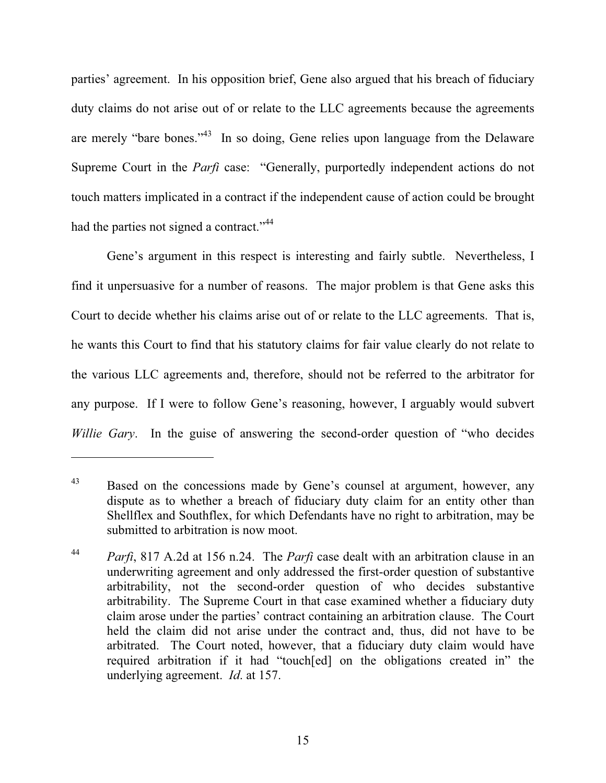parties' agreement. In his opposition brief, Gene also argued that his breach of fiduciary duty claims do not arise out of or relate to the LLC agreements because the agreements are merely "bare bones."<sup>43</sup> In so doing, Gene relies upon language from the Delaware Supreme Court in the *Parfi* case: "Generally, purportedly independent actions do not touch matters implicated in a contract if the independent cause of action could be brought had the parties not signed a contract."<sup>44</sup>

Gene's argument in this respect is interesting and fairly subtle. Nevertheless, I find it unpersuasive for a number of reasons. The major problem is that Gene asks this Court to decide whether his claims arise out of or relate to the LLC agreements. That is, he wants this Court to find that his statutory claims for fair value clearly do not relate to the various LLC agreements and, therefore, should not be referred to the arbitrator for any purpose. If I were to follow Gene's reasoning, however, I arguably would subvert *Willie Gary*. In the guise of answering the second-order question of "who decides

<sup>&</sup>lt;sup>43</sup> Based on the concessions made by Gene's counsel at argument, however, any dispute as to whether a breach of fiduciary duty claim for an entity other than Shellflex and Southflex, for which Defendants have no right to arbitration, may be submitted to arbitration is now moot.

<sup>44</sup> *Parfi*, 817 A.2d at 156 n.24. The *Parfi* case dealt with an arbitration clause in an underwriting agreement and only addressed the first-order question of substantive arbitrability, not the second-order question of who decides substantive arbitrability. The Supreme Court in that case examined whether a fiduciary duty claim arose under the parties' contract containing an arbitration clause. The Court held the claim did not arise under the contract and, thus, did not have to be arbitrated. The Court noted, however, that a fiduciary duty claim would have required arbitration if it had "touch[ed] on the obligations created in" the underlying agreement. *Id*. at 157.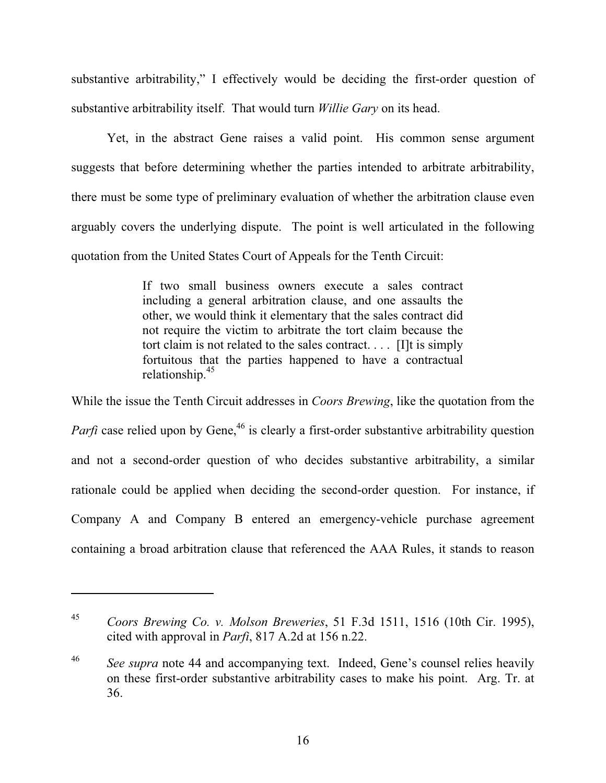substantive arbitrability," I effectively would be deciding the first-order question of substantive arbitrability itself. That would turn *Willie Gary* on its head.

Yet, in the abstract Gene raises a valid point. His common sense argument suggests that before determining whether the parties intended to arbitrate arbitrability, there must be some type of preliminary evaluation of whether the arbitration clause even arguably covers the underlying dispute. The point is well articulated in the following quotation from the United States Court of Appeals for the Tenth Circuit:

> If two small business owners execute a sales contract including a general arbitration clause, and one assaults the other, we would think it elementary that the sales contract did not require the victim to arbitrate the tort claim because the tort claim is not related to the sales contract. . . . [I]t is simply fortuitous that the parties happened to have a contractual relationship.<sup>45</sup>

While the issue the Tenth Circuit addresses in *Coors Brewing*, like the quotation from the *Parfi* case relied upon by Gene,<sup>46</sup> is clearly a first-order substantive arbitrability question and not a second-order question of who decides substantive arbitrability, a similar rationale could be applied when deciding the second-order question. For instance, if Company A and Company B entered an emergency-vehicle purchase agreement containing a broad arbitration clause that referenced the AAA Rules, it stands to reason

<sup>45</sup> *Coors Brewing Co. v. Molson Breweries*, 51 F.3d 1511, 1516 (10th Cir. 1995), cited with approval in *Parfi*, 817 A.2d at 156 n.22.

<sup>&</sup>lt;sup>46</sup> *See supra* note 44 and accompanying text. Indeed, Gene's counsel relies heavily on these first-order substantive arbitrability cases to make his point. Arg. Tr. at 36.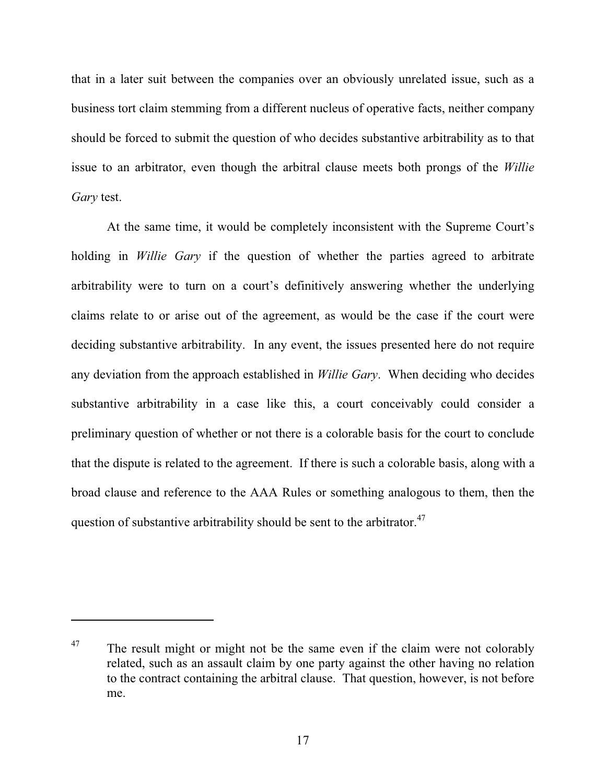that in a later suit between the companies over an obviously unrelated issue, such as a business tort claim stemming from a different nucleus of operative facts, neither company should be forced to submit the question of who decides substantive arbitrability as to that issue to an arbitrator, even though the arbitral clause meets both prongs of the *Willie Gary* test.

At the same time, it would be completely inconsistent with the Supreme Court's holding in *Willie Gary* if the question of whether the parties agreed to arbitrate arbitrability were to turn on a court's definitively answering whether the underlying claims relate to or arise out of the agreement, as would be the case if the court were deciding substantive arbitrability. In any event, the issues presented here do not require any deviation from the approach established in *Willie Gary*. When deciding who decides substantive arbitrability in a case like this, a court conceivably could consider a preliminary question of whether or not there is a colorable basis for the court to conclude that the dispute is related to the agreement. If there is such a colorable basis, along with a broad clause and reference to the AAA Rules or something analogous to them, then the question of substantive arbitrability should be sent to the arbitrator. $47$ 

 $47$  The result might or might not be the same even if the claim were not colorably related, such as an assault claim by one party against the other having no relation to the contract containing the arbitral clause. That question, however, is not before me.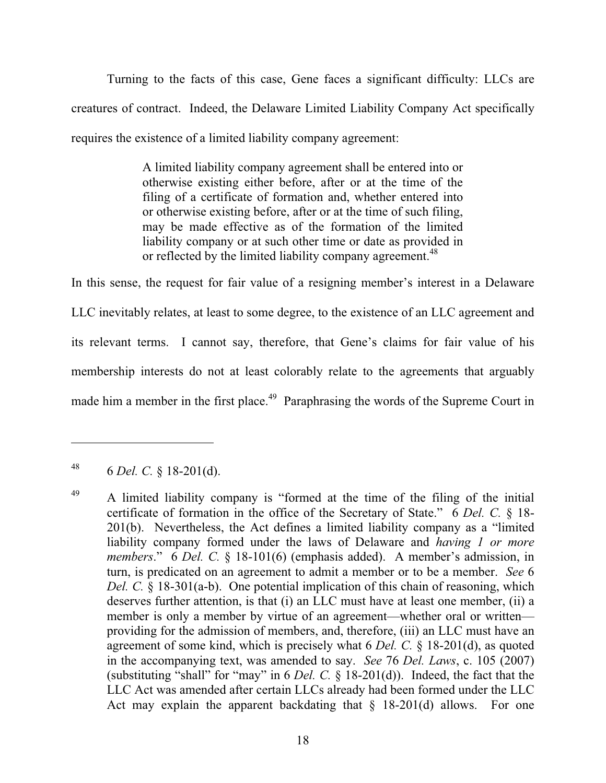Turning to the facts of this case, Gene faces a significant difficulty: LLCs are creatures of contract. Indeed, the Delaware Limited Liability Company Act specifically requires the existence of a limited liability company agreement:

> A limited liability company agreement shall be entered into or otherwise existing either before, after or at the time of the filing of a certificate of formation and, whether entered into or otherwise existing before, after or at the time of such filing, may be made effective as of the formation of the limited liability company or at such other time or date as provided in or reflected by the limited liability company agreement.<sup>48</sup>

In this sense, the request for fair value of a resigning member's interest in a Delaware LLC inevitably relates, at least to some degree, to the existence of an LLC agreement and its relevant terms. I cannot say, therefore, that Gene's claims for fair value of his membership interests do not at least colorably relate to the agreements that arguably made him a member in the first place.<sup>49</sup> Paraphrasing the words of the Supreme Court in

<sup>48 6</sup> *Del. C.* § 18-201(d).

<sup>&</sup>lt;sup>49</sup> A limited liability company is "formed at the time of the filing of the initial certificate of formation in the office of the Secretary of State." 6 *Del. C.* § 18- 201(b). Nevertheless, the Act defines a limited liability company as a "limited liability company formed under the laws of Delaware and *having 1 or more members*." 6 *Del. C.* § 18-101(6) (emphasis added). A member's admission, in turn, is predicated on an agreement to admit a member or to be a member. *See* 6 *Del. C.* § 18-301(a-b). One potential implication of this chain of reasoning, which deserves further attention, is that (i) an LLC must have at least one member, (ii) a member is only a member by virtue of an agreement—whether oral or written providing for the admission of members, and, therefore, (iii) an LLC must have an agreement of some kind, which is precisely what 6 *Del. C.* § 18-201(d), as quoted in the accompanying text, was amended to say. *See* 76 *Del. Laws*, c. 105 (2007) (substituting "shall" for "may" in 6 *Del. C.* § 18-201(d)). Indeed, the fact that the LLC Act was amended after certain LLCs already had been formed under the LLC Act may explain the apparent backdating that  $\S$  18-201(d) allows. For one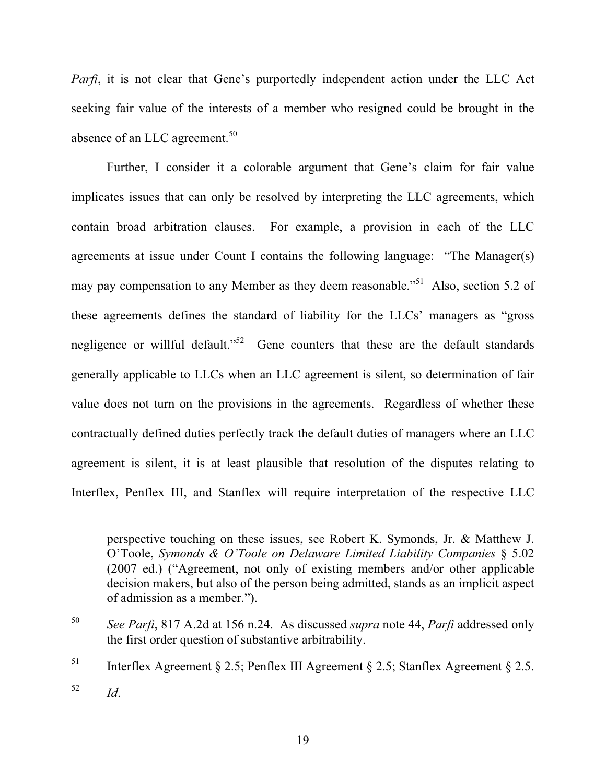*Parfi*, it is not clear that Gene's purportedly independent action under the LLC Act seeking fair value of the interests of a member who resigned could be brought in the absence of an LLC agreement.<sup>50</sup>

Further, I consider it a colorable argument that Gene's claim for fair value implicates issues that can only be resolved by interpreting the LLC agreements, which contain broad arbitration clauses. For example, a provision in each of the LLC agreements at issue under Count I contains the following language: "The Manager(s) may pay compensation to any Member as they deem reasonable."<sup>51</sup> Also, section 5.2 of these agreements defines the standard of liability for the LLCs' managers as "gross negligence or willful default."<sup>52</sup> Gene counters that these are the default standards generally applicable to LLCs when an LLC agreement is silent, so determination of fair value does not turn on the provisions in the agreements. Regardless of whether these contractually defined duties perfectly track the default duties of managers where an LLC agreement is silent, it is at least plausible that resolution of the disputes relating to Interflex, Penflex III, and Stanflex will require interpretation of the respective LLC

perspective touching on these issues, see Robert K. Symonds, Jr. & Matthew J. O'Toole, *Symonds & O'Toole on Delaware Limited Liability Companies* § 5.02 (2007 ed.) ("Agreement, not only of existing members and/or other applicable decision makers, but also of the person being admitted, stands as an implicit aspect of admission as a member.").

<sup>50</sup> *See Parfi*, 817 A.2d at 156 n.24. As discussed *supra* note 44, *Parfi* addressed only the first order question of substantive arbitrability.

<sup>&</sup>lt;sup>51</sup> Interflex Agreement § 2.5; Penflex III Agreement § 2.5; Stanflex Agreement § 2.5.

 $\frac{52}{10}$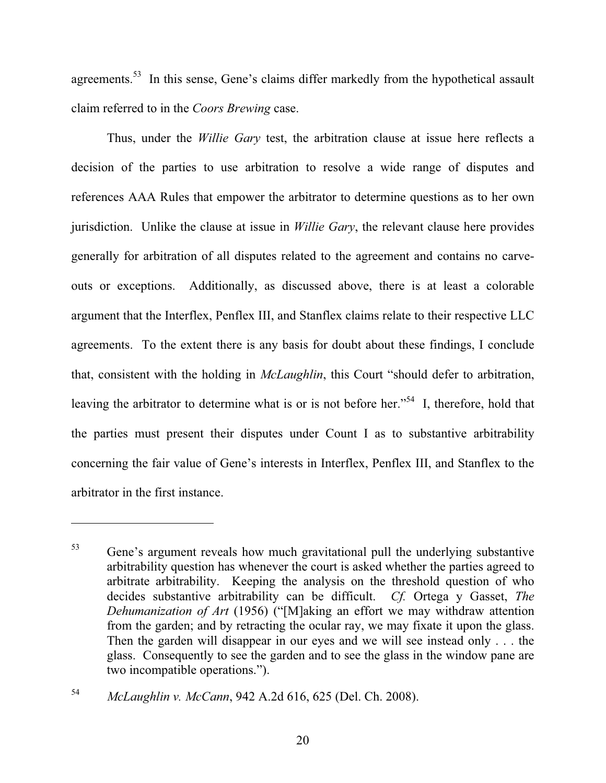agreements.<sup>53</sup> In this sense, Gene's claims differ markedly from the hypothetical assault claim referred to in the *Coors Brewing* case.

Thus, under the *Willie Gary* test, the arbitration clause at issue here reflects a decision of the parties to use arbitration to resolve a wide range of disputes and references AAA Rules that empower the arbitrator to determine questions as to her own jurisdiction. Unlike the clause at issue in *Willie Gary*, the relevant clause here provides generally for arbitration of all disputes related to the agreement and contains no carveouts or exceptions. Additionally, as discussed above, there is at least a colorable argument that the Interflex, Penflex III, and Stanflex claims relate to their respective LLC agreements. To the extent there is any basis for doubt about these findings, I conclude that, consistent with the holding in *McLaughlin*, this Court "should defer to arbitration, leaving the arbitrator to determine what is or is not before her."<sup>54</sup> I, therefore, hold that the parties must present their disputes under Count I as to substantive arbitrability concerning the fair value of Gene's interests in Interflex, Penflex III, and Stanflex to the arbitrator in the first instance.

<sup>53</sup> Gene's argument reveals how much gravitational pull the underlying substantive arbitrability question has whenever the court is asked whether the parties agreed to arbitrate arbitrability. Keeping the analysis on the threshold question of who decides substantive arbitrability can be difficult. *Cf.* Ortega y Gasset, *The Dehumanization of Art* (1956) ("[M]aking an effort we may withdraw attention from the garden; and by retracting the ocular ray, we may fixate it upon the glass. Then the garden will disappear in our eyes and we will see instead only . . . the glass. Consequently to see the garden and to see the glass in the window pane are two incompatible operations.").

<sup>54</sup> *McLaughlin v. McCann*, 942 A.2d 616, 625 (Del. Ch. 2008).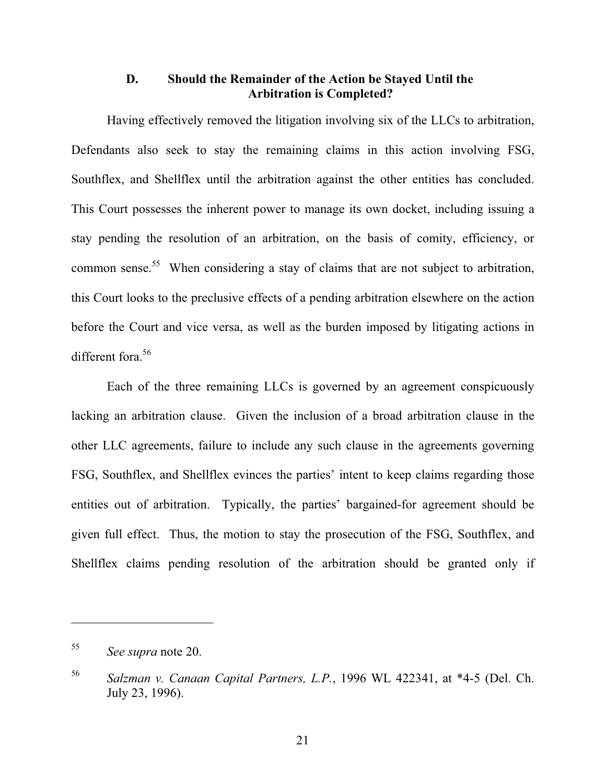# **D. Should the Remainder of the Action be Stayed Until the Arbitration is Completed?**

Having effectively removed the litigation involving six of the LLCs to arbitration, Defendants also seek to stay the remaining claims in this action involving FSG, Southflex, and Shellflex until the arbitration against the other entities has concluded. This Court possesses the inherent power to manage its own docket, including issuing a stay pending the resolution of an arbitration, on the basis of comity, efficiency, or common sense.<sup>55</sup> When considering a stay of claims that are not subject to arbitration, this Court looks to the preclusive effects of a pending arbitration elsewhere on the action before the Court and vice versa, as well as the burden imposed by litigating actions in different fora.<sup>56</sup>

Each of the three remaining LLCs is governed by an agreement conspicuously lacking an arbitration clause. Given the inclusion of a broad arbitration clause in the other LLC agreements, failure to include any such clause in the agreements governing FSG, Southflex, and Shellflex evinces the parties' intent to keep claims regarding those entities out of arbitration. Typically, the parties' bargained-for agreement should be given full effect. Thus, the motion to stay the prosecution of the FSG, Southflex, and Shellflex claims pending resolution of the arbitration should be granted only if

<sup>55</sup> *See supra* note 20.

<sup>56</sup> *Salzman v. Canaan Capital Partners, L.P.*, 1996 WL 422341, at \*4-5 (Del. Ch. July 23, 1996).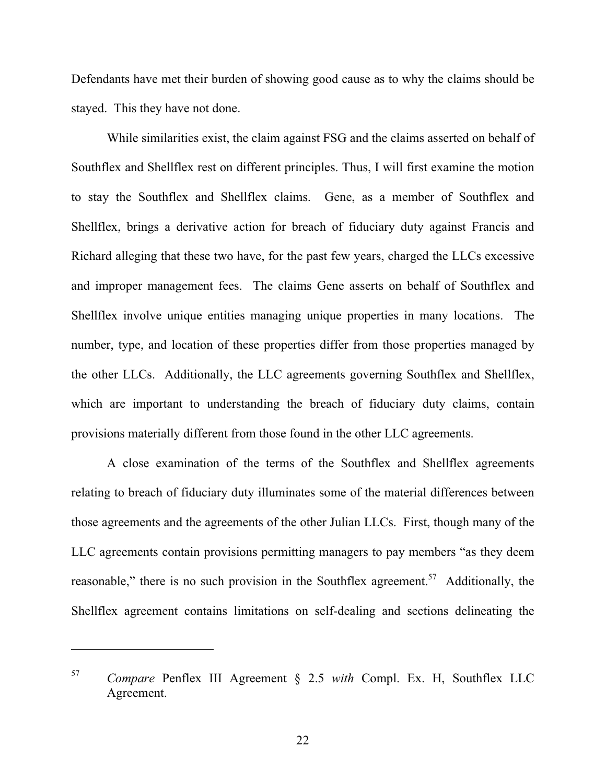Defendants have met their burden of showing good cause as to why the claims should be stayed. This they have not done.

While similarities exist, the claim against FSG and the claims asserted on behalf of Southflex and Shellflex rest on different principles. Thus, I will first examine the motion to stay the Southflex and Shellflex claims. Gene, as a member of Southflex and Shellflex, brings a derivative action for breach of fiduciary duty against Francis and Richard alleging that these two have, for the past few years, charged the LLCs excessive and improper management fees. The claims Gene asserts on behalf of Southflex and Shellflex involve unique entities managing unique properties in many locations. The number, type, and location of these properties differ from those properties managed by the other LLCs. Additionally, the LLC agreements governing Southflex and Shellflex, which are important to understanding the breach of fiduciary duty claims, contain provisions materially different from those found in the other LLC agreements.

A close examination of the terms of the Southflex and Shellflex agreements relating to breach of fiduciary duty illuminates some of the material differences between those agreements and the agreements of the other Julian LLCs. First, though many of the LLC agreements contain provisions permitting managers to pay members "as they deem reasonable," there is no such provision in the Southflex agreement.<sup>57</sup> Additionally, the Shellflex agreement contains limitations on self-dealing and sections delineating the

<sup>57</sup> *Compare* Penflex III Agreement § 2.5 *with* Compl. Ex. H, Southflex LLC Agreement.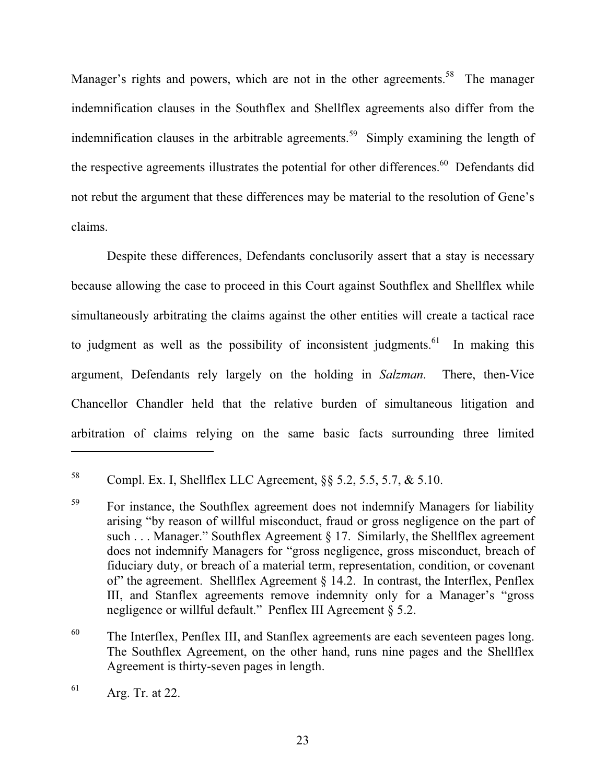Manager's rights and powers, which are not in the other agreements.<sup>58</sup> The manager indemnification clauses in the Southflex and Shellflex agreements also differ from the indemnification clauses in the arbitrable agreements.<sup>59</sup> Simply examining the length of the respective agreements illustrates the potential for other differences.<sup>60</sup> Defendants did not rebut the argument that these differences may be material to the resolution of Gene's claims.

Despite these differences, Defendants conclusorily assert that a stay is necessary because allowing the case to proceed in this Court against Southflex and Shellflex while simultaneously arbitrating the claims against the other entities will create a tactical race to judgment as well as the possibility of inconsistent judgments.<sup>61</sup> In making this argument, Defendants rely largely on the holding in *Salzman*. There, then-Vice Chancellor Chandler held that the relative burden of simultaneous litigation and arbitration of claims relying on the same basic facts surrounding three limited

<sup>&</sup>lt;sup>58</sup> Compl. Ex. I, Shellflex LLC Agreement,  $\S$ § 5.2, 5.5, 5.7, & 5.10.

<sup>&</sup>lt;sup>59</sup> For instance, the Southflex agreement does not indemnify Managers for liability arising "by reason of willful misconduct, fraud or gross negligence on the part of such . . . Manager." Southflex Agreement § 17. Similarly, the Shellflex agreement does not indemnify Managers for "gross negligence, gross misconduct, breach of fiduciary duty, or breach of a material term, representation, condition, or covenant of" the agreement. Shellflex Agreement § 14.2. In contrast, the Interflex, Penflex III, and Stanflex agreements remove indemnity only for a Manager's "gross negligence or willful default." Penflex III Agreement § 5.2.

<sup>&</sup>lt;sup>60</sup> The Interflex, Penflex III, and Stanflex agreements are each seventeen pages long. The Southflex Agreement, on the other hand, runs nine pages and the Shellflex Agreement is thirty-seven pages in length.

 $61$  Arg. Tr. at 22.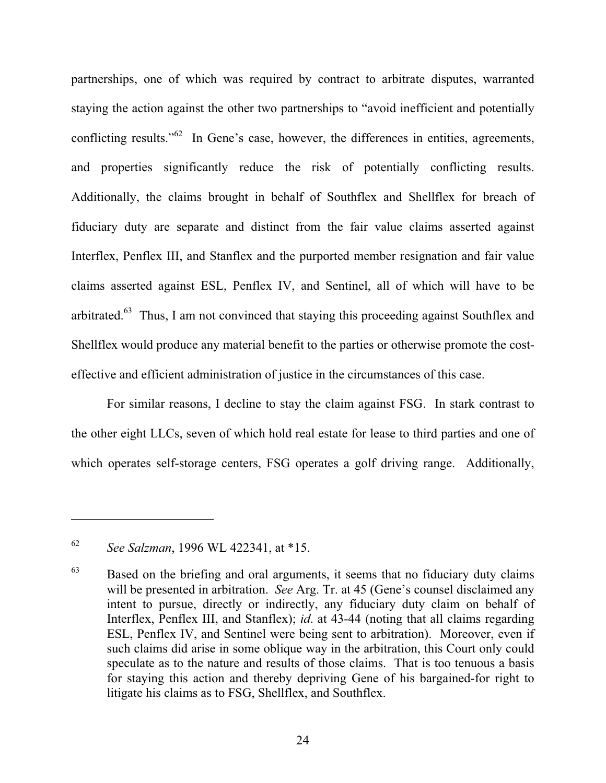partnerships, one of which was required by contract to arbitrate disputes, warranted staying the action against the other two partnerships to "avoid inefficient and potentially conflicting results."<sup>62</sup> In Gene's case, however, the differences in entities, agreements, and properties significantly reduce the risk of potentially conflicting results. Additionally, the claims brought in behalf of Southflex and Shellflex for breach of fiduciary duty are separate and distinct from the fair value claims asserted against Interflex, Penflex III, and Stanflex and the purported member resignation and fair value claims asserted against ESL, Penflex IV, and Sentinel, all of which will have to be arbitrated.<sup>63</sup> Thus, I am not convinced that staying this proceeding against Southflex and Shellflex would produce any material benefit to the parties or otherwise promote the costeffective and efficient administration of justice in the circumstances of this case.

For similar reasons, I decline to stay the claim against FSG. In stark contrast to the other eight LLCs, seven of which hold real estate for lease to third parties and one of which operates self-storage centers, FSG operates a golf driving range. Additionally,

<sup>62</sup> *See Salzman*, 1996 WL 422341, at \*15.

 $63$  Based on the briefing and oral arguments, it seems that no fiduciary duty claims will be presented in arbitration. *See* Arg. Tr. at 45 (Gene's counsel disclaimed any intent to pursue, directly or indirectly, any fiduciary duty claim on behalf of Interflex, Penflex III, and Stanflex); *id*. at 43-44 (noting that all claims regarding ESL, Penflex IV, and Sentinel were being sent to arbitration). Moreover, even if such claims did arise in some oblique way in the arbitration, this Court only could speculate as to the nature and results of those claims. That is too tenuous a basis for staying this action and thereby depriving Gene of his bargained-for right to litigate his claims as to FSG, Shellflex, and Southflex.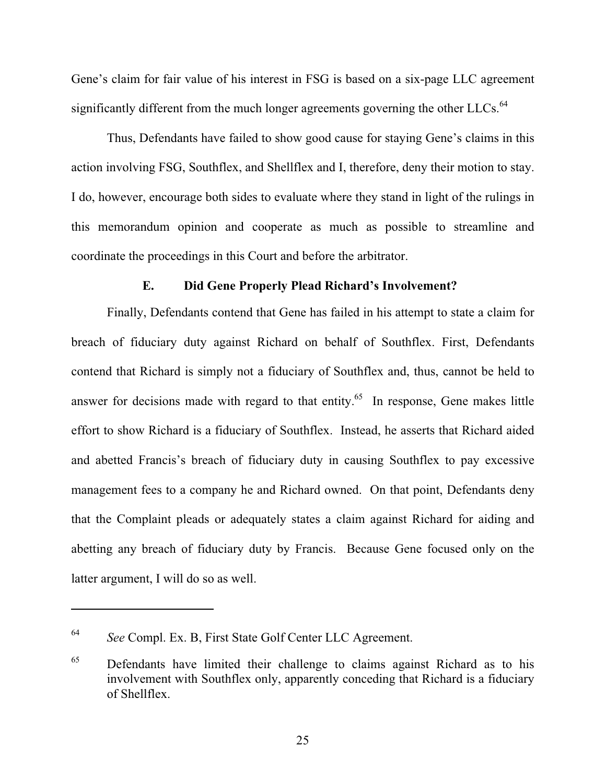Gene's claim for fair value of his interest in FSG is based on a six-page LLC agreement significantly different from the much longer agreements governing the other LLCs.<sup>64</sup>

Thus, Defendants have failed to show good cause for staying Gene's claims in this action involving FSG, Southflex, and Shellflex and I, therefore, deny their motion to stay. I do, however, encourage both sides to evaluate where they stand in light of the rulings in this memorandum opinion and cooperate as much as possible to streamline and coordinate the proceedings in this Court and before the arbitrator.

#### **E. Did Gene Properly Plead Richard's Involvement?**

Finally, Defendants contend that Gene has failed in his attempt to state a claim for breach of fiduciary duty against Richard on behalf of Southflex. First, Defendants contend that Richard is simply not a fiduciary of Southflex and, thus, cannot be held to answer for decisions made with regard to that entity.<sup>65</sup> In response, Gene makes little effort to show Richard is a fiduciary of Southflex. Instead, he asserts that Richard aided and abetted Francis's breach of fiduciary duty in causing Southflex to pay excessive management fees to a company he and Richard owned. On that point, Defendants deny that the Complaint pleads or adequately states a claim against Richard for aiding and abetting any breach of fiduciary duty by Francis. Because Gene focused only on the latter argument, I will do so as well.

<sup>64</sup> *See* Compl. Ex. B, First State Golf Center LLC Agreement.

 $^{65}$  Defendants have limited their challenge to claims against Richard as to his involvement with Southflex only, apparently conceding that Richard is a fiduciary of Shellflex.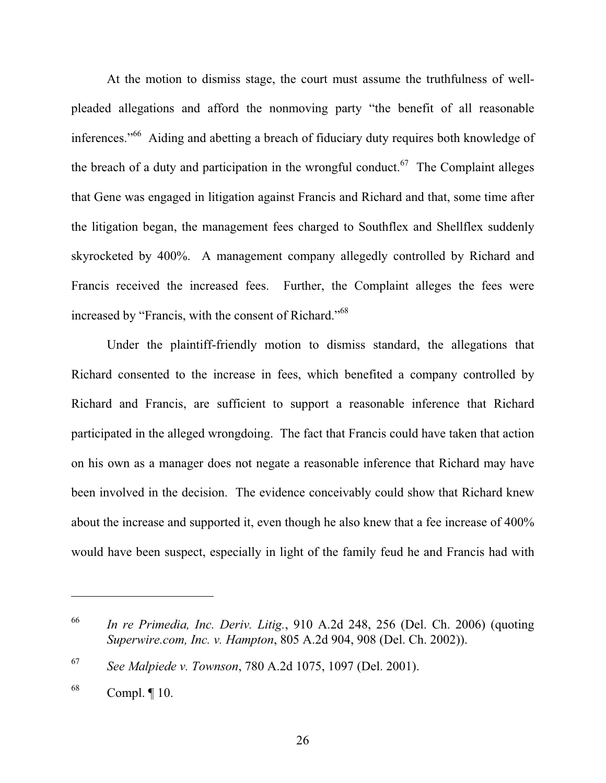At the motion to dismiss stage, the court must assume the truthfulness of wellpleaded allegations and afford the nonmoving party "the benefit of all reasonable inferences."66 Aiding and abetting a breach of fiduciary duty requires both knowledge of the breach of a duty and participation in the wrongful conduct.<sup>67</sup> The Complaint alleges that Gene was engaged in litigation against Francis and Richard and that, some time after the litigation began, the management fees charged to Southflex and Shellflex suddenly skyrocketed by 400%. A management company allegedly controlled by Richard and Francis received the increased fees. Further, the Complaint alleges the fees were increased by "Francis, with the consent of Richard."<sup>68</sup>

Under the plaintiff-friendly motion to dismiss standard, the allegations that Richard consented to the increase in fees, which benefited a company controlled by Richard and Francis, are sufficient to support a reasonable inference that Richard participated in the alleged wrongdoing. The fact that Francis could have taken that action on his own as a manager does not negate a reasonable inference that Richard may have been involved in the decision. The evidence conceivably could show that Richard knew about the increase and supported it, even though he also knew that a fee increase of 400% would have been suspect, especially in light of the family feud he and Francis had with

<sup>66</sup> *In re Primedia, Inc. Deriv. Litig.*, 910 A.2d 248, 256 (Del. Ch. 2006) (quoting *Superwire.com, Inc. v. Hampton*, 805 A.2d 904, 908 (Del. Ch. 2002)).

<sup>67</sup> *See Malpiede v. Townson*, 780 A.2d 1075, 1097 (Del. 2001).

 $68$  Compl.  $[10.$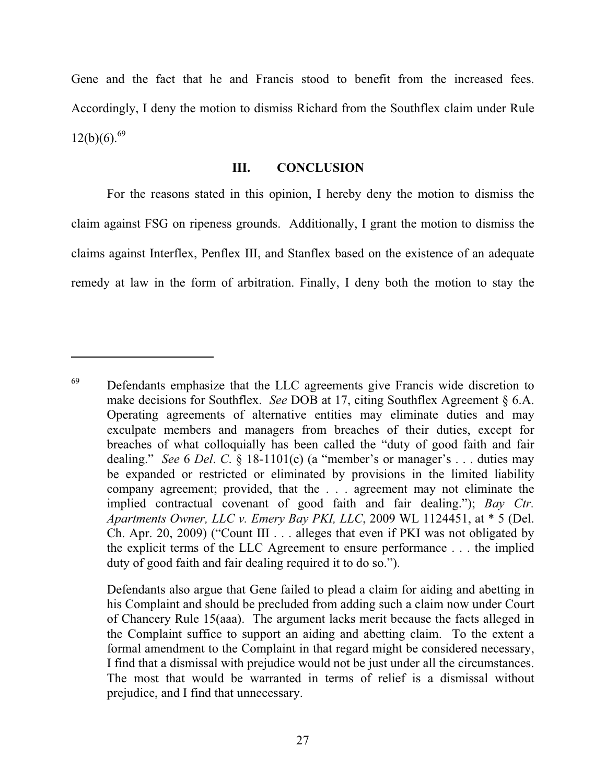Gene and the fact that he and Francis stood to benefit from the increased fees. Accordingly, I deny the motion to dismiss Richard from the Southflex claim under Rule  $12(b)(6).^{69}$ 

#### **III. CONCLUSION**

For the reasons stated in this opinion, I hereby deny the motion to dismiss the claim against FSG on ripeness grounds. Additionally, I grant the motion to dismiss the claims against Interflex, Penflex III, and Stanflex based on the existence of an adequate remedy at law in the form of arbitration. Finally, I deny both the motion to stay the

<sup>&</sup>lt;sup>69</sup> Defendants emphasize that the LLC agreements give Francis wide discretion to make decisions for Southflex. *See* DOB at 17, citing Southflex Agreement § 6.A. Operating agreements of alternative entities may eliminate duties and may exculpate members and managers from breaches of their duties, except for breaches of what colloquially has been called the "duty of good faith and fair dealing." *See* 6 *Del*. *C*. § 18-1101(c) (a "member's or manager's . . . duties may be expanded or restricted or eliminated by provisions in the limited liability company agreement; provided, that the . . . agreement may not eliminate the implied contractual covenant of good faith and fair dealing."); *Bay Ctr. Apartments Owner, LLC v. Emery Bay PKI, LLC*, 2009 WL 1124451, at \* 5 (Del. Ch. Apr. 20, 2009) ("Count III . . . alleges that even if PKI was not obligated by the explicit terms of the LLC Agreement to ensure performance . . . the implied duty of good faith and fair dealing required it to do so.").

Defendants also argue that Gene failed to plead a claim for aiding and abetting in his Complaint and should be precluded from adding such a claim now under Court of Chancery Rule 15(aaa). The argument lacks merit because the facts alleged in the Complaint suffice to support an aiding and abetting claim. To the extent a formal amendment to the Complaint in that regard might be considered necessary, I find that a dismissal with prejudice would not be just under all the circumstances. The most that would be warranted in terms of relief is a dismissal without prejudice, and I find that unnecessary.